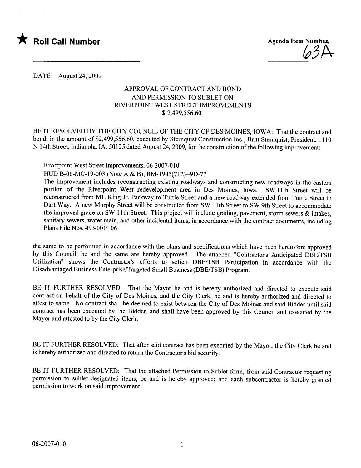



DATE August 24,2009

## APPROVAL OF CONTRACT AND BOND AND PERMISSION TO SUBLET ON RIVERPOINT WEST STREET IMPROVEMENTS \$ 2,499,556.60

BE IT RESOLVED BY THE CITY COUNCIL OF THE CITY OF DES MOINES, IOWA: That the contract and bond, in the amount of \$2,499,556.60, executed by Sternquist Construction Inc., Britt Sternquist, President, 1110 N 14th Street, Indianola, lA, 50125 dated August 24,2009, for the construction of the following improvement:

Riverpoint West Street Improvements, 06-2007-010

HUD B-06-MC-19-003 (Note A & B), RM-1945(712)--9D-77

The improvement includes reconstructing existing roadways and constructing new roadways in the eastern portion of the Riverpoint West redevelopment area in Des Moines, Iowa. SW 11th Street will be reconstructed from ML King Jr. Parkway to Tuttle Street and a new roadway extended from Tuttle Street to Dart Way. A new Murphy Street will be constructed from SW 11th Street to SW 9th Street to accommodate the improved grade on SW 11th Street. This project will include grading, pavement, storm sewers  $\&$  intakes, sanitary sewers, water main, and other incidental items; in accordance with the contract documents, including Plans File Nos. 493-0011106

the same to be performed in accordance with the plans and specifications which have been heretofore approved by this Council, be and the same are hereby approved. The attached "Contractor's Anticipated DBE/TSB Utilization" shows the Contractor's efforts to solicit DBE/TSB Participation in accordance with the Disadvantaged Business Enterprise/Targeted Small Business (DBE/TSB) Program.

BE IT FURTHER RESOLVED: That the Mayor be and is hereby authorized and directed to execute said contract on behalf of the City of Des Moines, and the City Clerk, be and is hereby authorized and directed to attest to same. No contract shall be deemed to exist between the City of Des Moines and said Bidder until said contract has been executed by the Bidder, and shall have been approved by this Council and executed by the Mayor and attested to by the City Clerk.

BE IT FURTHER RESOLVED: That after said contract has been executed by the Mayor, the City Clerk be and is hereby authorized and directed to return the Contractor's bid security.

BE IT FURTHER RESOLVED: That the attached Permission to Sublet form, from said Contractor requesting permission to sublet designated items, be and is hereby approved; and each subcontractor is hereby granted permission to work on said improvement.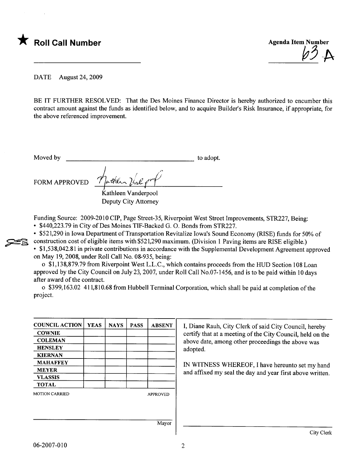



DATE August 24, 2009

BE IT FURTHER RESOLVED: That the Des Moines Finance Director is hereby authorized to encumber this contract amount against the funds as identified below, and to acquire Builder's Risk Insurance, if appropriate, for the above referenced improvement.

Moved by to adopt.

**22** 

FORM APPROVED  $\gamma$  with  $\gamma$  and  $\gamma$ 

Kathleen Vanderpool Deputy City Attorney

Funding Source: 2009-2010 CIP, Page Street-35, Riverpoint West Street Improvements, STR227, Being:

· \$440,223.79 in City of Des Moines TIF-Backed G. O. Bonds from STR227.

· \$521,290 in Iowa Department of Transportation Revitalize Iowa's Sound Economy (RISE) funds for 50% of construction cost of eligible items with \$521,290 maximum. (Division 1 Paving items are RISE eligible.)

· \$1,538,042.81 in private contributions in accordance with the Supplemental Development Agreement approved on May 19, 2008, under Roll Call No. 08-935, being:

o \$1,138,879.79 from Riverpoint West L.L.C., which contains proceeds from the HUD Section 108 Loan approved by the City Council on July 23, 2007, under Roll Call No.07- 1 456, and is to be paid within 10 days after award of the contract.

o \$399,163.02 411,810.68 from Hubbell Terminal Corporation, which shall be paid at completion of the project.

| <b>COUNCIL ACTION</b> | <b>YEAS</b> | <b>NAYS</b>     | <b>PASS</b> | <b>ABSENT</b> |
|-----------------------|-------------|-----------------|-------------|---------------|
| <b>COWNIE</b>         |             |                 |             |               |
| <b>COLEMAN</b>        |             |                 |             |               |
| <b>HENSLEY</b>        |             |                 |             |               |
| <b>KIERNAN</b>        |             |                 |             |               |
| <b>MAHAFFEY</b>       |             |                 |             |               |
| <b>MEYER</b>          |             |                 |             |               |
| <b>VLASSIS</b>        |             |                 |             |               |
| <b>TOTAL</b>          |             |                 |             |               |
| <b>MOTION CARRIED</b> |             | <b>APPROVED</b> |             |               |
|                       |             |                 |             |               |
|                       |             |                 |             |               |
|                       |             |                 |             | Mayor         |

I, Diane Rauh, City Clerk of said City Council, hereby certify that at a meeting of the City Council, held on the above date, among other proceedings the above was adopted.

IN WITNESS WHREOF, I have hereunto set my hand and affixed my seal the day and year first above written.